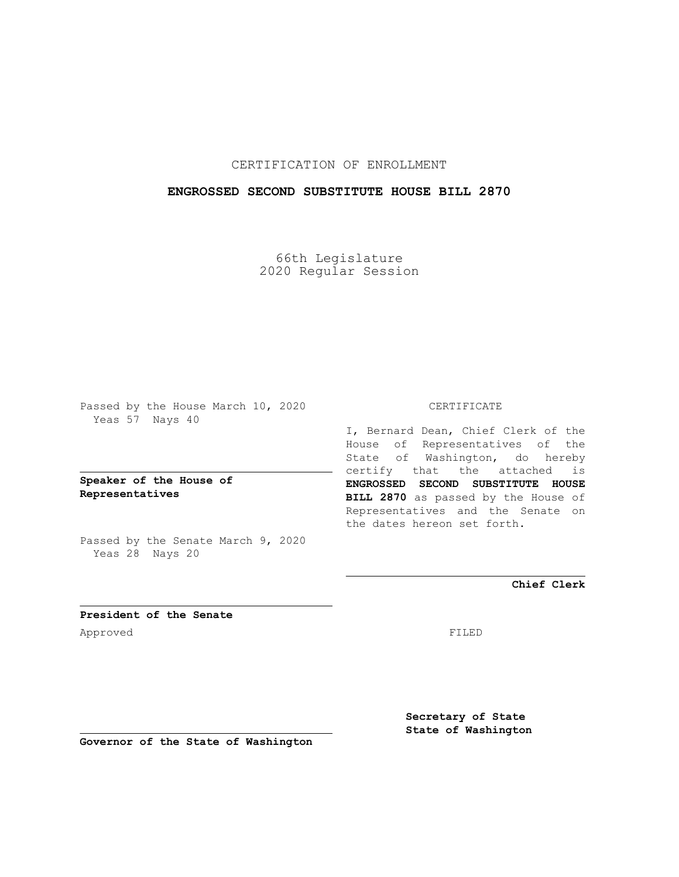## CERTIFICATION OF ENROLLMENT

### **ENGROSSED SECOND SUBSTITUTE HOUSE BILL 2870**

66th Legislature 2020 Regular Session

Passed by the House March 10, 2020 Yeas 57 Nays 40

**Speaker of the House of Representatives**

Passed by the Senate March 9, 2020 Yeas 28 Nays 20

#### CERTIFICATE

I, Bernard Dean, Chief Clerk of the House of Representatives of the State of Washington, do hereby certify that the attached is **ENGROSSED SECOND SUBSTITUTE HOUSE BILL 2870** as passed by the House of Representatives and the Senate on the dates hereon set forth.

**Chief Clerk**

**President of the Senate** Approved FILED

**Secretary of State State of Washington**

**Governor of the State of Washington**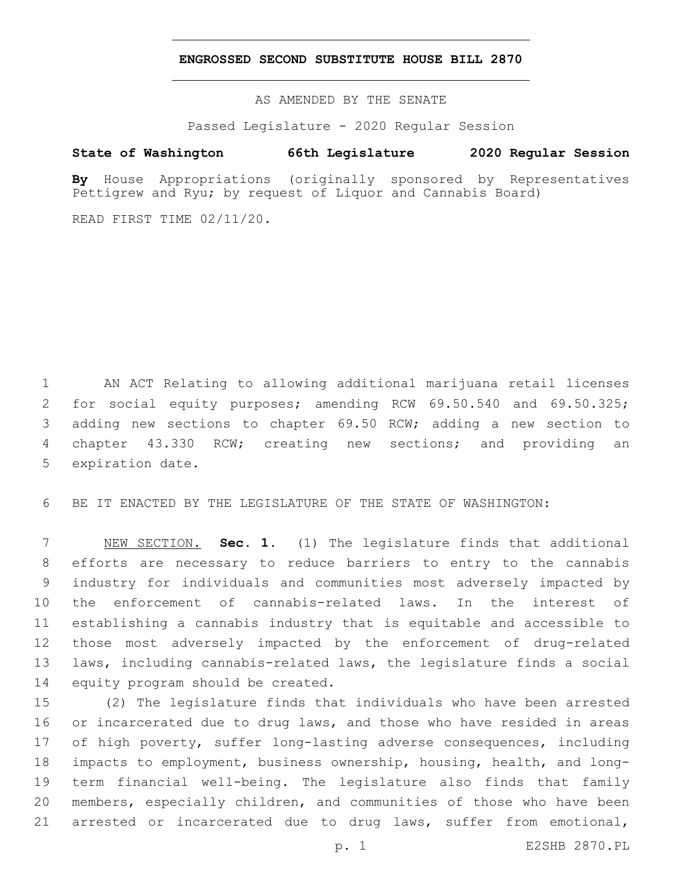#### **ENGROSSED SECOND SUBSTITUTE HOUSE BILL 2870**

AS AMENDED BY THE SENATE

Passed Legislature - 2020 Regular Session

# **State of Washington 66th Legislature 2020 Regular Session**

**By** House Appropriations (originally sponsored by Representatives Pettigrew and Ryu; by request of Liquor and Cannabis Board)

READ FIRST TIME 02/11/20.

1 AN ACT Relating to allowing additional marijuana retail licenses 2 for social equity purposes; amending RCW 69.50.540 and 69.50.325; 3 adding new sections to chapter 69.50 RCW; adding a new section to 4 chapter 43.330 RCW; creating new sections; and providing an 5 expiration date.

6 BE IT ENACTED BY THE LEGISLATURE OF THE STATE OF WASHINGTON:

 NEW SECTION. **Sec. 1.** (1) The legislature finds that additional efforts are necessary to reduce barriers to entry to the cannabis industry for individuals and communities most adversely impacted by the enforcement of cannabis-related laws. In the interest of establishing a cannabis industry that is equitable and accessible to those most adversely impacted by the enforcement of drug-related laws, including cannabis-related laws, the legislature finds a social 14 equity program should be created.

 (2) The legislature finds that individuals who have been arrested 16 or incarcerated due to drug laws, and those who have resided in areas of high poverty, suffer long-lasting adverse consequences, including impacts to employment, business ownership, housing, health, and long- term financial well-being. The legislature also finds that family members, especially children, and communities of those who have been arrested or incarcerated due to drug laws, suffer from emotional,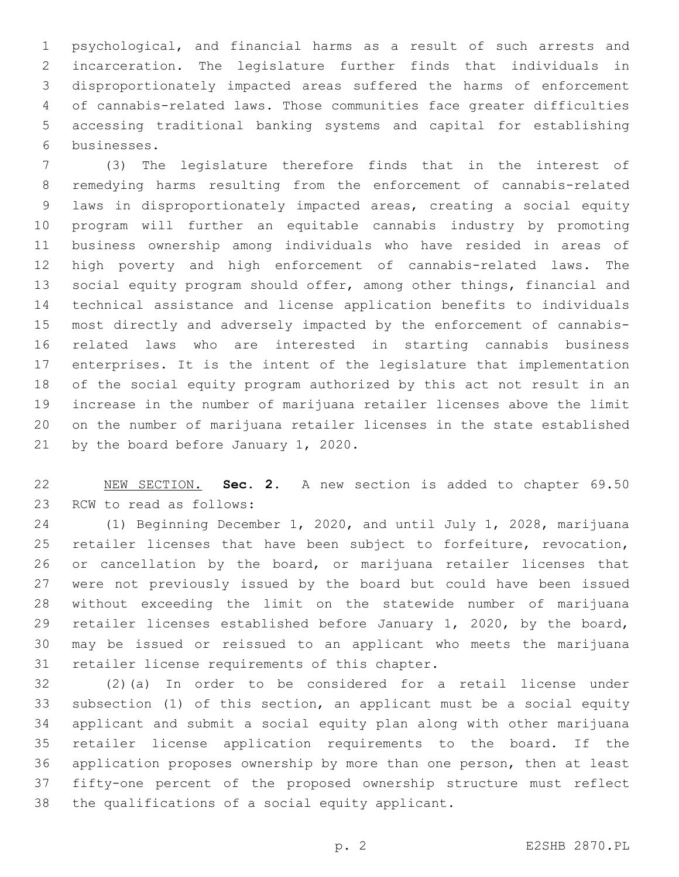psychological, and financial harms as a result of such arrests and incarceration. The legislature further finds that individuals in disproportionately impacted areas suffered the harms of enforcement of cannabis-related laws. Those communities face greater difficulties accessing traditional banking systems and capital for establishing businesses.6

 (3) The legislature therefore finds that in the interest of remedying harms resulting from the enforcement of cannabis-related laws in disproportionately impacted areas, creating a social equity program will further an equitable cannabis industry by promoting business ownership among individuals who have resided in areas of high poverty and high enforcement of cannabis-related laws. The social equity program should offer, among other things, financial and technical assistance and license application benefits to individuals most directly and adversely impacted by the enforcement of cannabis- related laws who are interested in starting cannabis business enterprises. It is the intent of the legislature that implementation of the social equity program authorized by this act not result in an increase in the number of marijuana retailer licenses above the limit on the number of marijuana retailer licenses in the state established 21 by the board before January 1, 2020.

 NEW SECTION. **Sec. 2.** A new section is added to chapter 69.50 23 RCW to read as follows:

 (1) Beginning December 1, 2020, and until July 1, 2028, marijuana retailer licenses that have been subject to forfeiture, revocation, or cancellation by the board, or marijuana retailer licenses that were not previously issued by the board but could have been issued without exceeding the limit on the statewide number of marijuana retailer licenses established before January 1, 2020, by the board, may be issued or reissued to an applicant who meets the marijuana 31 retailer license requirements of this chapter.

 (2)(a) In order to be considered for a retail license under subsection (1) of this section, an applicant must be a social equity applicant and submit a social equity plan along with other marijuana retailer license application requirements to the board. If the application proposes ownership by more than one person, then at least fifty-one percent of the proposed ownership structure must reflect 38 the qualifications of a social equity applicant.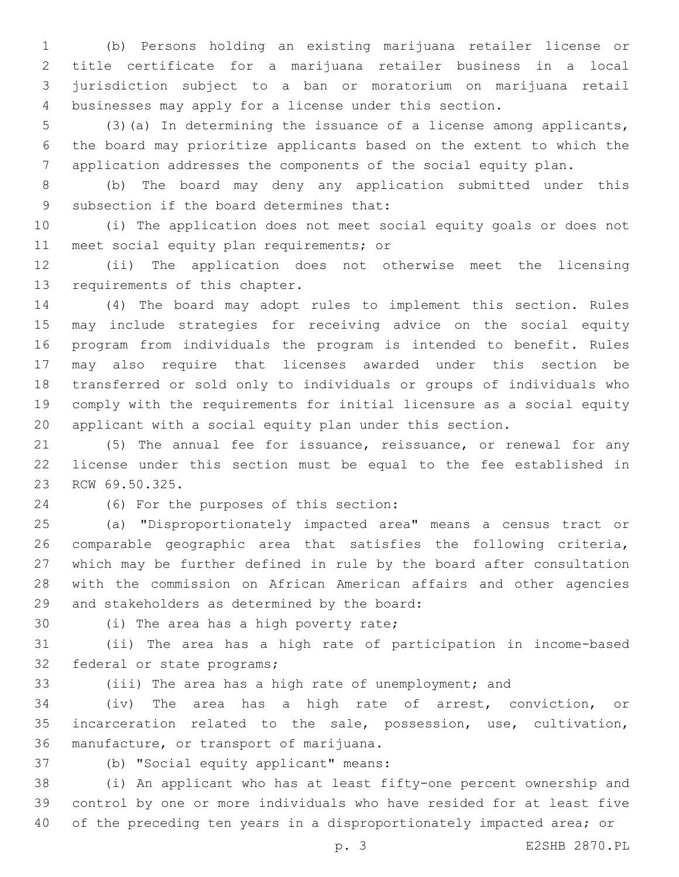(b) Persons holding an existing marijuana retailer license or title certificate for a marijuana retailer business in a local jurisdiction subject to a ban or moratorium on marijuana retail businesses may apply for a license under this section.

 (3)(a) In determining the issuance of a license among applicants, the board may prioritize applicants based on the extent to which the application addresses the components of the social equity plan.

 (b) The board may deny any application submitted under this 9 subsection if the board determines that:

 (i) The application does not meet social equity goals or does not 11 meet social equity plan requirements; or

 (ii) The application does not otherwise meet the licensing 13 requirements of this chapter.

 (4) The board may adopt rules to implement this section. Rules may include strategies for receiving advice on the social equity program from individuals the program is intended to benefit. Rules may also require that licenses awarded under this section be transferred or sold only to individuals or groups of individuals who comply with the requirements for initial licensure as a social equity applicant with a social equity plan under this section.

 (5) The annual fee for issuance, reissuance, or renewal for any license under this section must be equal to the fee established in 23 RCW 69.50.325.

(6) For the purposes of this section:24

 (a) "Disproportionately impacted area" means a census tract or comparable geographic area that satisfies the following criteria, which may be further defined in rule by the board after consultation with the commission on African American affairs and other agencies 29 and stakeholders as determined by the board:

30 (i) The area has a high poverty rate;

 (ii) The area has a high rate of participation in income-based 32 federal or state programs;

(iii) The area has a high rate of unemployment; and

 (iv) The area has a high rate of arrest, conviction, or incarceration related to the sale, possession, use, cultivation, 36 manufacture, or transport of marijuana.

37 (b) "Social equity applicant" means:

 (i) An applicant who has at least fifty-one percent ownership and control by one or more individuals who have resided for at least five of the preceding ten years in a disproportionately impacted area; or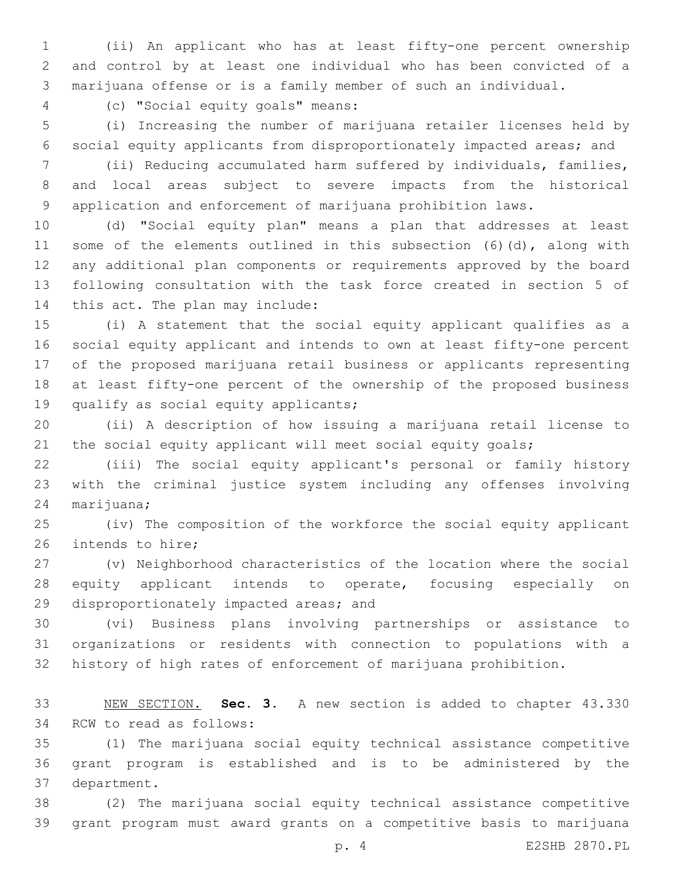(ii) An applicant who has at least fifty-one percent ownership and control by at least one individual who has been convicted of a marijuana offense or is a family member of such an individual.

(c) "Social equity goals" means:4

 (i) Increasing the number of marijuana retailer licenses held by social equity applicants from disproportionately impacted areas; and

 (ii) Reducing accumulated harm suffered by individuals, families, and local areas subject to severe impacts from the historical application and enforcement of marijuana prohibition laws.

 (d) "Social equity plan" means a plan that addresses at least some of the elements outlined in this subsection (6)(d), along with any additional plan components or requirements approved by the board following consultation with the task force created in section 5 of 14 this act. The plan may include:

 (i) A statement that the social equity applicant qualifies as a social equity applicant and intends to own at least fifty-one percent of the proposed marijuana retail business or applicants representing at least fifty-one percent of the ownership of the proposed business 19 qualify as social equity applicants;

 (ii) A description of how issuing a marijuana retail license to 21 the social equity applicant will meet social equity goals;

 (iii) The social equity applicant's personal or family history with the criminal justice system including any offenses involving 24 marijuana;

 (iv) The composition of the workforce the social equity applicant 26 intends to hire;

 (v) Neighborhood characteristics of the location where the social equity applicant intends to operate, focusing especially on 29 disproportionately impacted areas; and

 (vi) Business plans involving partnerships or assistance to organizations or residents with connection to populations with a history of high rates of enforcement of marijuana prohibition.

 NEW SECTION. **Sec. 3.** A new section is added to chapter 43.330 34 RCW to read as follows:

 (1) The marijuana social equity technical assistance competitive grant program is established and is to be administered by the 37 department.

 (2) The marijuana social equity technical assistance competitive grant program must award grants on a competitive basis to marijuana

p. 4 E2SHB 2870.PL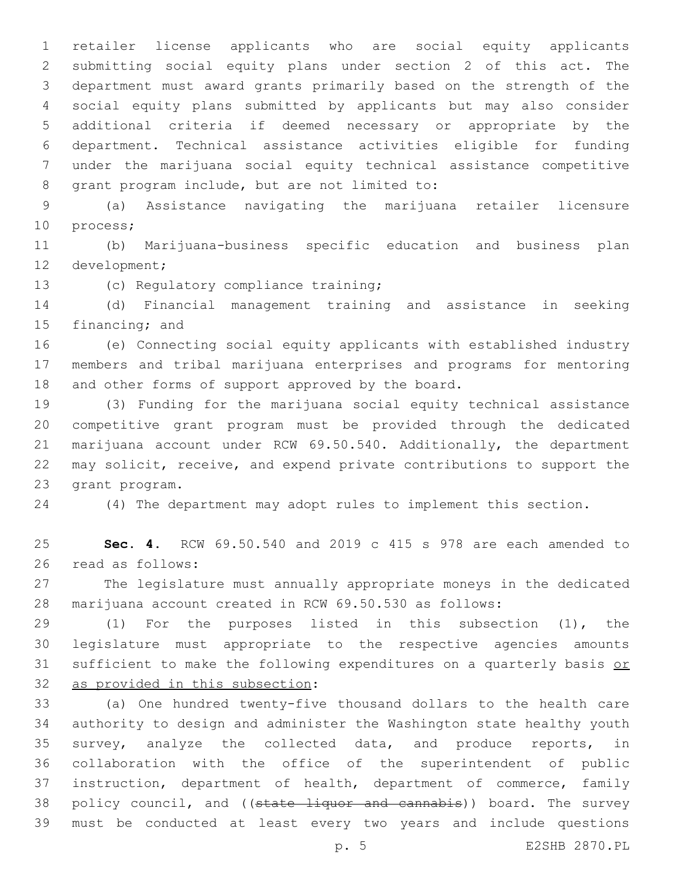retailer license applicants who are social equity applicants submitting social equity plans under section 2 of this act. The department must award grants primarily based on the strength of the social equity plans submitted by applicants but may also consider additional criteria if deemed necessary or appropriate by the department. Technical assistance activities eligible for funding under the marijuana social equity technical assistance competitive 8 grant program include, but are not limited to:

 (a) Assistance navigating the marijuana retailer licensure 10 process;

 (b) Marijuana-business specific education and business plan 12 development;

13 (c) Regulatory compliance training;

 (d) Financial management training and assistance in seeking 15 financing; and

 (e) Connecting social equity applicants with established industry members and tribal marijuana enterprises and programs for mentoring 18 and other forms of support approved by the board.

 (3) Funding for the marijuana social equity technical assistance competitive grant program must be provided through the dedicated marijuana account under RCW 69.50.540. Additionally, the department may solicit, receive, and expend private contributions to support the 23 grant program.

(4) The department may adopt rules to implement this section.

 **Sec. 4.** RCW 69.50.540 and 2019 c 415 s 978 are each amended to 26 read as follows:

 The legislature must annually appropriate moneys in the dedicated marijuana account created in RCW 69.50.530 as follows:

 (1) For the purposes listed in this subsection (1), the legislature must appropriate to the respective agencies amounts 31 sufficient to make the following expenditures on a quarterly basis or 32 as provided in this subsection:

 (a) One hundred twenty-five thousand dollars to the health care authority to design and administer the Washington state healthy youth survey, analyze the collected data, and produce reports, in collaboration with the office of the superintendent of public instruction, department of health, department of commerce, family 38 policy council, and ((state liquor and cannabis)) board. The survey must be conducted at least every two years and include questions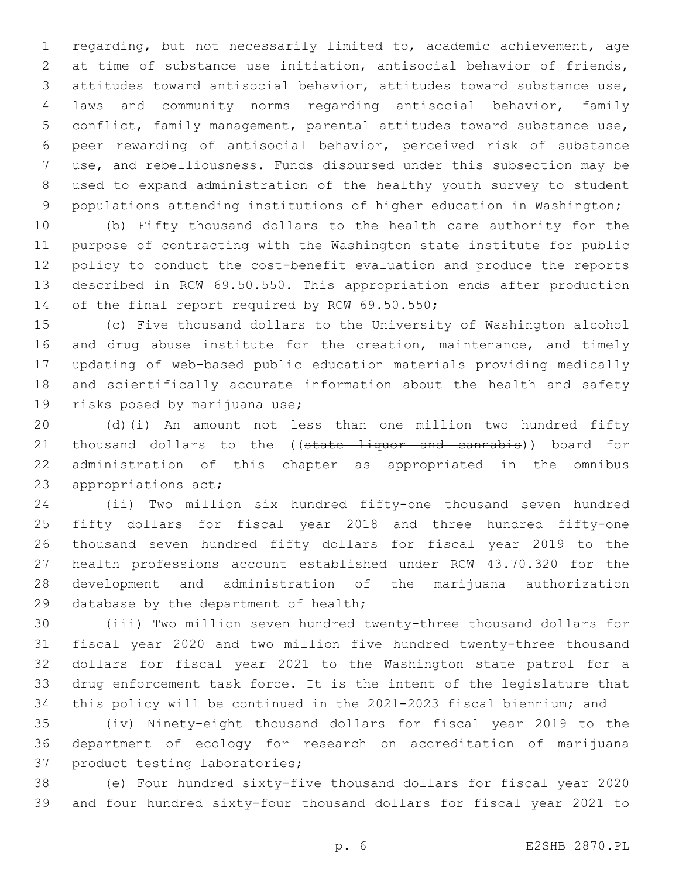regarding, but not necessarily limited to, academic achievement, age at time of substance use initiation, antisocial behavior of friends, attitudes toward antisocial behavior, attitudes toward substance use, laws and community norms regarding antisocial behavior, family conflict, family management, parental attitudes toward substance use, peer rewarding of antisocial behavior, perceived risk of substance use, and rebelliousness. Funds disbursed under this subsection may be used to expand administration of the healthy youth survey to student 9 populations attending institutions of higher education in Washington;

 (b) Fifty thousand dollars to the health care authority for the purpose of contracting with the Washington state institute for public policy to conduct the cost-benefit evaluation and produce the reports described in RCW 69.50.550. This appropriation ends after production 14 of the final report required by RCW 69.50.550;

 (c) Five thousand dollars to the University of Washington alcohol 16 and drug abuse institute for the creation, maintenance, and timely updating of web-based public education materials providing medically and scientifically accurate information about the health and safety 19 risks posed by marijuana use;

 (d)(i) An amount not less than one million two hundred fifty 21 thousand dollars to the ((state liquor and cannabis)) board for administration of this chapter as appropriated in the omnibus 23 appropriations act;

 (ii) Two million six hundred fifty-one thousand seven hundred fifty dollars for fiscal year 2018 and three hundred fifty-one thousand seven hundred fifty dollars for fiscal year 2019 to the health professions account established under RCW 43.70.320 for the development and administration of the marijuana authorization 29 database by the department of health;

 (iii) Two million seven hundred twenty-three thousand dollars for fiscal year 2020 and two million five hundred twenty-three thousand dollars for fiscal year 2021 to the Washington state patrol for a drug enforcement task force. It is the intent of the legislature that this policy will be continued in the 2021-2023 fiscal biennium; and

 (iv) Ninety-eight thousand dollars for fiscal year 2019 to the department of ecology for research on accreditation of marijuana 37 product testing laboratories;

 (e) Four hundred sixty-five thousand dollars for fiscal year 2020 and four hundred sixty-four thousand dollars for fiscal year 2021 to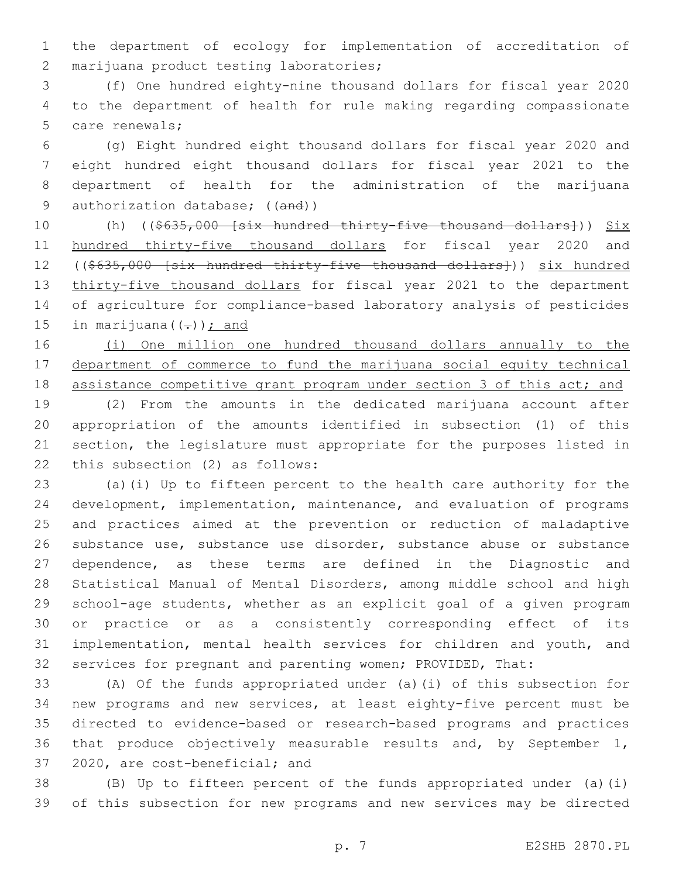the department of ecology for implementation of accreditation of 2 marijuana product testing laboratories;

 (f) One hundred eighty-nine thousand dollars for fiscal year 2020 to the department of health for rule making regarding compassionate 5 care renewals;

 (g) Eight hundred eight thousand dollars for fiscal year 2020 and eight hundred eight thousand dollars for fiscal year 2021 to the department of health for the administration of the marijuana 9 authorization database; ((and))

10 (h) ((\$635,000 [six hundred thirty-five thousand dollars])) Six 11 hundred thirty-five thousand dollars for fiscal year 2020 and ((\$635,000 [six hundred thirty-five thousand dollars])) six hundred 13 thirty-five thousand dollars for fiscal year 2021 to the department of agriculture for compliance-based laboratory analysis of pesticides 15 in marijuana $((-))$ ; and

 (i) One million one hundred thousand dollars annually to the department of commerce to fund the marijuana social equity technical 18 assistance competitive grant program under section 3 of this act; and

 (2) From the amounts in the dedicated marijuana account after appropriation of the amounts identified in subsection (1) of this section, the legislature must appropriate for the purposes listed in 22 this subsection (2) as follows:

 (a)(i) Up to fifteen percent to the health care authority for the development, implementation, maintenance, and evaluation of programs and practices aimed at the prevention or reduction of maladaptive substance use, substance use disorder, substance abuse or substance dependence, as these terms are defined in the Diagnostic and Statistical Manual of Mental Disorders, among middle school and high school-age students, whether as an explicit goal of a given program or practice or as a consistently corresponding effect of its implementation, mental health services for children and youth, and services for pregnant and parenting women; PROVIDED, That:

 (A) Of the funds appropriated under (a)(i) of this subsection for new programs and new services, at least eighty-five percent must be directed to evidence-based or research-based programs and practices that produce objectively measurable results and, by September 1, 37 2020, are cost-beneficial; and

 (B) Up to fifteen percent of the funds appropriated under (a)(i) of this subsection for new programs and new services may be directed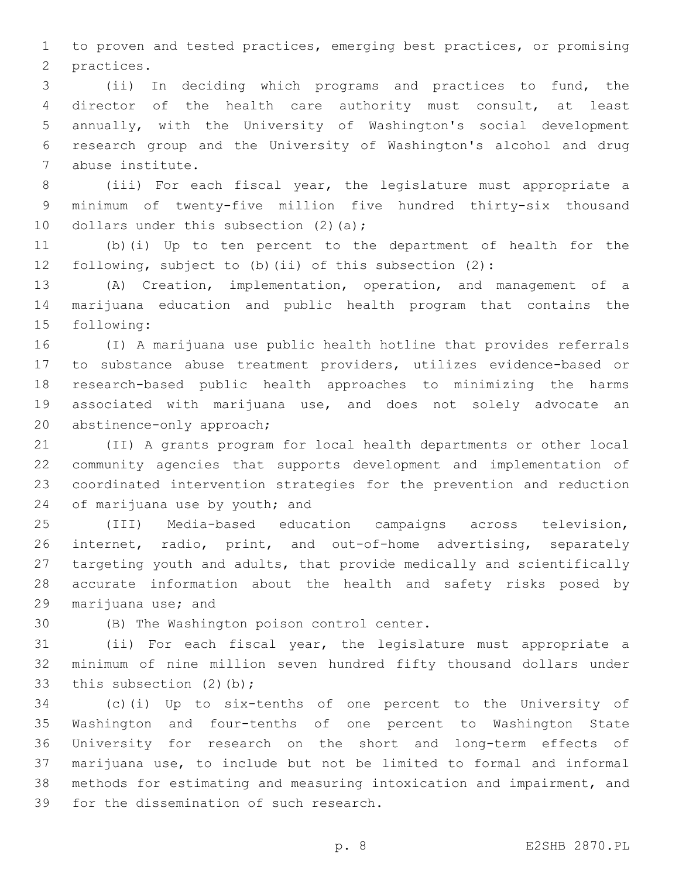to proven and tested practices, emerging best practices, or promising 2 practices.

 (ii) In deciding which programs and practices to fund, the director of the health care authority must consult, at least annually, with the University of Washington's social development research group and the University of Washington's alcohol and drug abuse institute.7

 (iii) For each fiscal year, the legislature must appropriate a minimum of twenty-five million five hundred thirty-six thousand 10 dollars under this subsection  $(2)$   $(a)$ ;

 (b)(i) Up to ten percent to the department of health for the following, subject to (b)(ii) of this subsection (2):

 (A) Creation, implementation, operation, and management of a marijuana education and public health program that contains the 15 following:

 (I) A marijuana use public health hotline that provides referrals to substance abuse treatment providers, utilizes evidence-based or research-based public health approaches to minimizing the harms associated with marijuana use, and does not solely advocate an 20 abstinence-only approach;

 (II) A grants program for local health departments or other local community agencies that supports development and implementation of coordinated intervention strategies for the prevention and reduction 24 of marijuana use by youth; and

 (III) Media-based education campaigns across television, internet, radio, print, and out-of-home advertising, separately targeting youth and adults, that provide medically and scientifically accurate information about the health and safety risks posed by 29 marijuana use; and

30 (B) The Washington poison control center.

 (ii) For each fiscal year, the legislature must appropriate a minimum of nine million seven hundred fifty thousand dollars under 33 this subsection (2)(b);

 (c)(i) Up to six-tenths of one percent to the University of Washington and four-tenths of one percent to Washington State University for research on the short and long-term effects of marijuana use, to include but not be limited to formal and informal methods for estimating and measuring intoxication and impairment, and 39 for the dissemination of such research.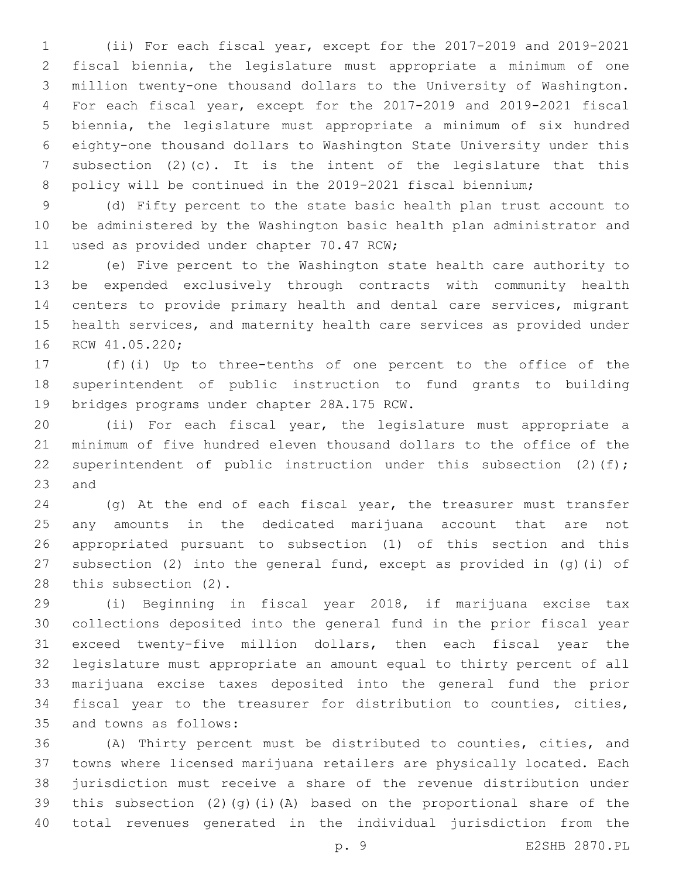(ii) For each fiscal year, except for the 2017-2019 and 2019-2021 fiscal biennia, the legislature must appropriate a minimum of one million twenty-one thousand dollars to the University of Washington. For each fiscal year, except for the 2017-2019 and 2019-2021 fiscal biennia, the legislature must appropriate a minimum of six hundred eighty-one thousand dollars to Washington State University under this subsection (2)(c). It is the intent of the legislature that this 8 policy will be continued in the 2019-2021 fiscal biennium;

 (d) Fifty percent to the state basic health plan trust account to be administered by the Washington basic health plan administrator and 11 used as provided under chapter 70.47 RCW;

 (e) Five percent to the Washington state health care authority to be expended exclusively through contracts with community health centers to provide primary health and dental care services, migrant health services, and maternity health care services as provided under 16 RCW 41.05.220;

 (f)(i) Up to three-tenths of one percent to the office of the superintendent of public instruction to fund grants to building 19 bridges programs under chapter 28A.175 RCW.

 (ii) For each fiscal year, the legislature must appropriate a minimum of five hundred eleven thousand dollars to the office of the 22 superintendent of public instruction under this subsection (2)(f); and

 (g) At the end of each fiscal year, the treasurer must transfer any amounts in the dedicated marijuana account that are not appropriated pursuant to subsection (1) of this section and this subsection (2) into the general fund, except as provided in (g)(i) of 28 this subsection (2).

 (i) Beginning in fiscal year 2018, if marijuana excise tax collections deposited into the general fund in the prior fiscal year exceed twenty-five million dollars, then each fiscal year the legislature must appropriate an amount equal to thirty percent of all marijuana excise taxes deposited into the general fund the prior fiscal year to the treasurer for distribution to counties, cities, 35 and towns as follows:

 (A) Thirty percent must be distributed to counties, cities, and towns where licensed marijuana retailers are physically located. Each jurisdiction must receive a share of the revenue distribution under this subsection (2)(g)(i)(A) based on the proportional share of the total revenues generated in the individual jurisdiction from the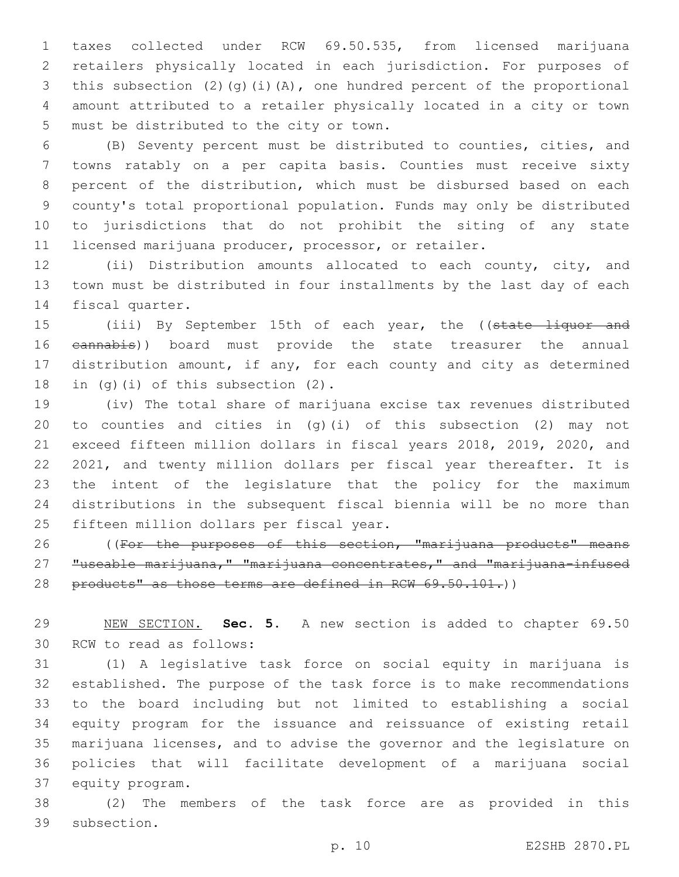taxes collected under RCW 69.50.535, from licensed marijuana retailers physically located in each jurisdiction. For purposes of this subsection (2)(g)(i)(A), one hundred percent of the proportional amount attributed to a retailer physically located in a city or town 5 must be distributed to the city or town.

 (B) Seventy percent must be distributed to counties, cities, and towns ratably on a per capita basis. Counties must receive sixty percent of the distribution, which must be disbursed based on each county's total proportional population. Funds may only be distributed to jurisdictions that do not prohibit the siting of any state licensed marijuana producer, processor, or retailer.

 (ii) Distribution amounts allocated to each county, city, and town must be distributed in four installments by the last day of each 14 fiscal quarter.

15 (iii) By September 15th of each year, the ((state liquor and 16 eannabis)) board must provide the state treasurer the annual distribution amount, if any, for each county and city as determined 18 in (g)(i) of this subsection  $(2)$ .

 (iv) The total share of marijuana excise tax revenues distributed to counties and cities in (g)(i) of this subsection (2) may not exceed fifteen million dollars in fiscal years 2018, 2019, 2020, and 2021, and twenty million dollars per fiscal year thereafter. It is the intent of the legislature that the policy for the maximum distributions in the subsequent fiscal biennia will be no more than 25 fifteen million dollars per fiscal year.

26 (For the purposes of this section, "marijuana products" means "useable marijuana," "marijuana concentrates," and "marijuana-infused 28 products" as those terms are defined in RCW 69.50.101.)

 NEW SECTION. **Sec. 5.** A new section is added to chapter 69.50 30 RCW to read as follows:

 (1) A legislative task force on social equity in marijuana is established. The purpose of the task force is to make recommendations to the board including but not limited to establishing a social equity program for the issuance and reissuance of existing retail marijuana licenses, and to advise the governor and the legislature on policies that will facilitate development of a marijuana social 37 equity program.

 (2) The members of the task force are as provided in this 39 subsection.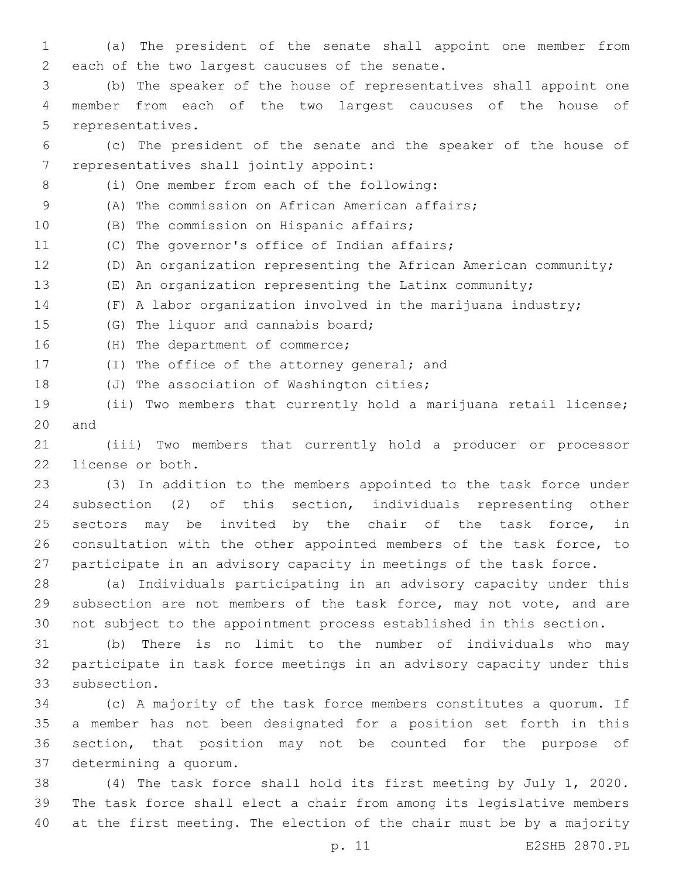1 (a) The president of the senate shall appoint one member from 2 each of the two largest caucuses of the senate.

3 (b) The speaker of the house of representatives shall appoint one 4 member from each of the two largest caucuses of the house of 5 representatives.

6 (c) The president of the senate and the speaker of the house of 7 representatives shall jointly appoint:

(i) One member from each of the following:8

9 (A) The commission on African American affairs;

10 (B) The commission on Hispanic affairs;

11 (C) The governor's office of Indian affairs;

12 (D) An organization representing the African American community;

13 (E) An organization representing the Latinx community;

14 (F) A labor organization involved in the marijuana industry;

15 (G) The liquor and cannabis board;

16 (H) The department of commerce;

17 (I) The office of the attorney general; and

18 (J) The association of Washington cities;

19 (ii) Two members that currently hold a marijuana retail license; 20 and

21 (iii) Two members that currently hold a producer or processor 22 license or both.

 (3) In addition to the members appointed to the task force under subsection (2) of this section, individuals representing other 25 sectors may be invited by the chair of the task force, in consultation with the other appointed members of the task force, to participate in an advisory capacity in meetings of the task force.

28 (a) Individuals participating in an advisory capacity under this 29 subsection are not members of the task force, may not vote, and are 30 not subject to the appointment process established in this section.

31 (b) There is no limit to the number of individuals who may 32 participate in task force meetings in an advisory capacity under this 33 subsection.

 (c) A majority of the task force members constitutes a quorum. If a member has not been designated for a position set forth in this section, that position may not be counted for the purpose of 37 determining a quorum.

38 (4) The task force shall hold its first meeting by July 1, 2020. 39 The task force shall elect a chair from among its legislative members 40 at the first meeting. The election of the chair must be by a majority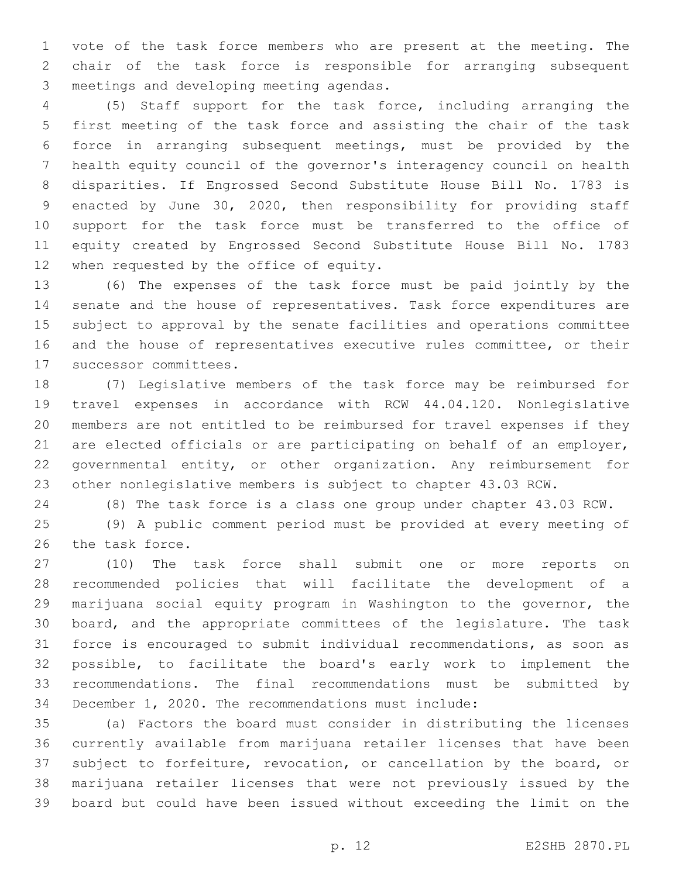vote of the task force members who are present at the meeting. The chair of the task force is responsible for arranging subsequent 3 meetings and developing meeting agendas.

 (5) Staff support for the task force, including arranging the first meeting of the task force and assisting the chair of the task force in arranging subsequent meetings, must be provided by the health equity council of the governor's interagency council on health disparities. If Engrossed Second Substitute House Bill No. 1783 is enacted by June 30, 2020, then responsibility for providing staff support for the task force must be transferred to the office of equity created by Engrossed Second Substitute House Bill No. 1783 12 when requested by the office of equity.

 (6) The expenses of the task force must be paid jointly by the senate and the house of representatives. Task force expenditures are subject to approval by the senate facilities and operations committee and the house of representatives executive rules committee, or their 17 successor committees.

 (7) Legislative members of the task force may be reimbursed for travel expenses in accordance with RCW 44.04.120. Nonlegislative members are not entitled to be reimbursed for travel expenses if they are elected officials or are participating on behalf of an employer, governmental entity, or other organization. Any reimbursement for other nonlegislative members is subject to chapter 43.03 RCW.

(8) The task force is a class one group under chapter 43.03 RCW.

 (9) A public comment period must be provided at every meeting of 26 the task force.

 (10) The task force shall submit one or more reports on recommended policies that will facilitate the development of a marijuana social equity program in Washington to the governor, the board, and the appropriate committees of the legislature. The task force is encouraged to submit individual recommendations, as soon as possible, to facilitate the board's early work to implement the recommendations. The final recommendations must be submitted by December 1, 2020. The recommendations must include:

 (a) Factors the board must consider in distributing the licenses currently available from marijuana retailer licenses that have been subject to forfeiture, revocation, or cancellation by the board, or marijuana retailer licenses that were not previously issued by the board but could have been issued without exceeding the limit on the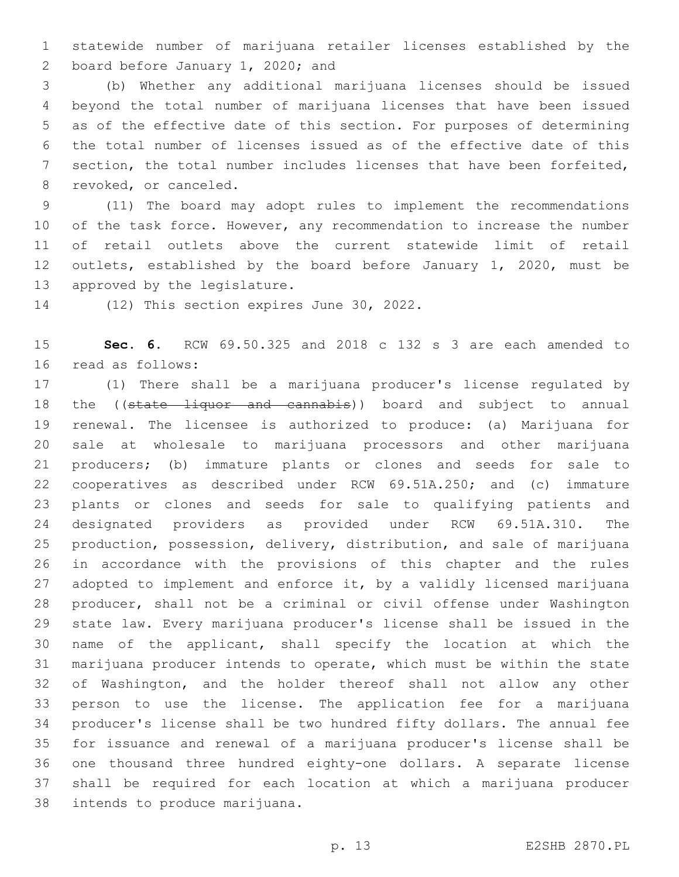statewide number of marijuana retailer licenses established by the 2 board before January 1, 2020; and

 (b) Whether any additional marijuana licenses should be issued beyond the total number of marijuana licenses that have been issued as of the effective date of this section. For purposes of determining the total number of licenses issued as of the effective date of this section, the total number includes licenses that have been forfeited, 8 revoked, or canceled.

 (11) The board may adopt rules to implement the recommendations 10 of the task force. However, any recommendation to increase the number of retail outlets above the current statewide limit of retail outlets, established by the board before January 1, 2020, must be 13 approved by the legislature.

14 (12) This section expires June 30, 2022.

 **Sec. 6.** RCW 69.50.325 and 2018 c 132 s 3 are each amended to 16 read as follows:

 (1) There shall be a marijuana producer's license regulated by 18 the ((state liquor and cannabis)) board and subject to annual renewal. The licensee is authorized to produce: (a) Marijuana for sale at wholesale to marijuana processors and other marijuana producers; (b) immature plants or clones and seeds for sale to cooperatives as described under RCW 69.51A.250; and (c) immature plants or clones and seeds for sale to qualifying patients and designated providers as provided under RCW 69.51A.310. The production, possession, delivery, distribution, and sale of marijuana in accordance with the provisions of this chapter and the rules adopted to implement and enforce it, by a validly licensed marijuana producer, shall not be a criminal or civil offense under Washington state law. Every marijuana producer's license shall be issued in the name of the applicant, shall specify the location at which the marijuana producer intends to operate, which must be within the state of Washington, and the holder thereof shall not allow any other person to use the license. The application fee for a marijuana producer's license shall be two hundred fifty dollars. The annual fee for issuance and renewal of a marijuana producer's license shall be one thousand three hundred eighty-one dollars. A separate license shall be required for each location at which a marijuana producer 38 intends to produce marijuana.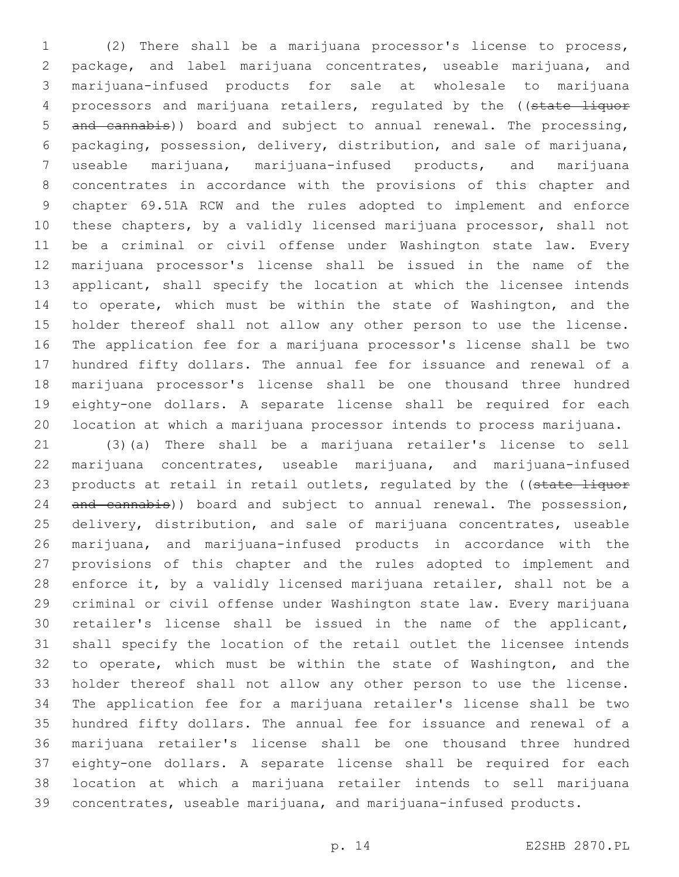(2) There shall be a marijuana processor's license to process, package, and label marijuana concentrates, useable marijuana, and marijuana-infused products for sale at wholesale to marijuana 4 processors and marijuana retailers, regulated by the ((state liquor 5 and cannabis)) board and subject to annual renewal. The processing, packaging, possession, delivery, distribution, and sale of marijuana, useable marijuana, marijuana-infused products, and marijuana concentrates in accordance with the provisions of this chapter and chapter 69.51A RCW and the rules adopted to implement and enforce these chapters, by a validly licensed marijuana processor, shall not be a criminal or civil offense under Washington state law. Every marijuana processor's license shall be issued in the name of the applicant, shall specify the location at which the licensee intends to operate, which must be within the state of Washington, and the holder thereof shall not allow any other person to use the license. The application fee for a marijuana processor's license shall be two hundred fifty dollars. The annual fee for issuance and renewal of a marijuana processor's license shall be one thousand three hundred eighty-one dollars. A separate license shall be required for each location at which a marijuana processor intends to process marijuana.

 (3)(a) There shall be a marijuana retailer's license to sell marijuana concentrates, useable marijuana, and marijuana-infused 23 products at retail in retail outlets, regulated by the ((state liquor 24 and cannabis)) board and subject to annual renewal. The possession, delivery, distribution, and sale of marijuana concentrates, useable marijuana, and marijuana-infused products in accordance with the provisions of this chapter and the rules adopted to implement and enforce it, by a validly licensed marijuana retailer, shall not be a criminal or civil offense under Washington state law. Every marijuana retailer's license shall be issued in the name of the applicant, shall specify the location of the retail outlet the licensee intends to operate, which must be within the state of Washington, and the holder thereof shall not allow any other person to use the license. The application fee for a marijuana retailer's license shall be two hundred fifty dollars. The annual fee for issuance and renewal of a marijuana retailer's license shall be one thousand three hundred eighty-one dollars. A separate license shall be required for each location at which a marijuana retailer intends to sell marijuana concentrates, useable marijuana, and marijuana-infused products.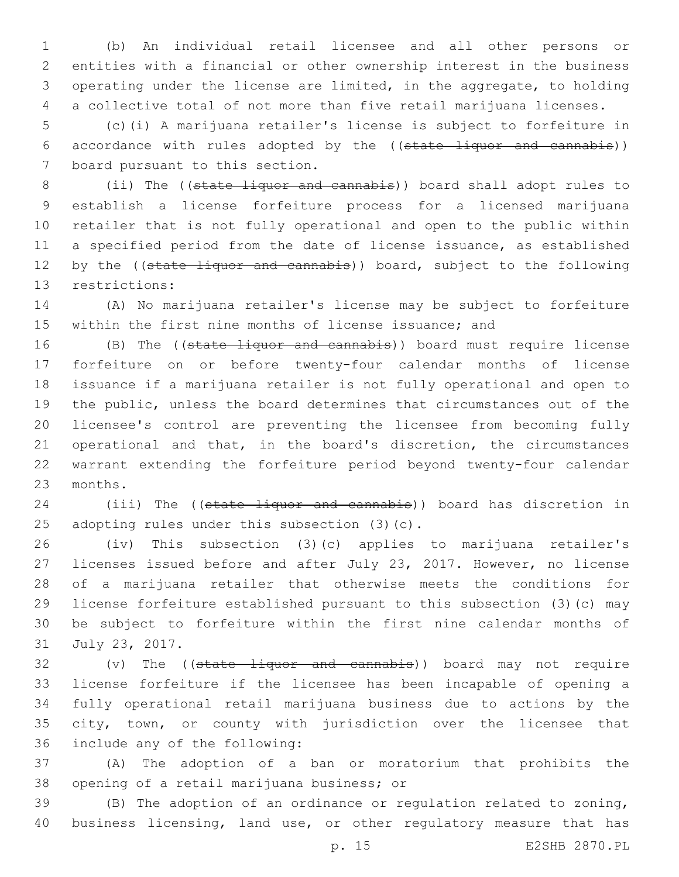(b) An individual retail licensee and all other persons or entities with a financial or other ownership interest in the business operating under the license are limited, in the aggregate, to holding a collective total of not more than five retail marijuana licenses.

 (c)(i) A marijuana retailer's license is subject to forfeiture in accordance with rules adopted by the ((state liquor and cannabis)) 7 board pursuant to this section.

 (ii) The ((state liquor and cannabis)) board shall adopt rules to establish a license forfeiture process for a licensed marijuana retailer that is not fully operational and open to the public within a specified period from the date of license issuance, as established 12 by the ((state liquor and cannabis)) board, subject to the following 13 restrictions:

 (A) No marijuana retailer's license may be subject to forfeiture within the first nine months of license issuance; and

16 (B) The ((state liquor and cannabis)) board must require license forfeiture on or before twenty-four calendar months of license issuance if a marijuana retailer is not fully operational and open to the public, unless the board determines that circumstances out of the licensee's control are preventing the licensee from becoming fully operational and that, in the board's discretion, the circumstances warrant extending the forfeiture period beyond twenty-four calendar 23 months.

24 (iii) The ((state liquor and cannabis)) board has discretion in 25 adopting rules under this subsection (3) (c).

 (iv) This subsection (3)(c) applies to marijuana retailer's licenses issued before and after July 23, 2017. However, no license of a marijuana retailer that otherwise meets the conditions for license forfeiture established pursuant to this subsection (3)(c) may be subject to forfeiture within the first nine calendar months of 31 July 23, 2017.

32 (v) The ((state liquor and cannabis)) board may not require license forfeiture if the licensee has been incapable of opening a fully operational retail marijuana business due to actions by the city, town, or county with jurisdiction over the licensee that 36 include any of the following:

 (A) The adoption of a ban or moratorium that prohibits the 38 opening of a retail marijuana business; or

 (B) The adoption of an ordinance or regulation related to zoning, 40 business licensing, land use, or other regulatory measure that has